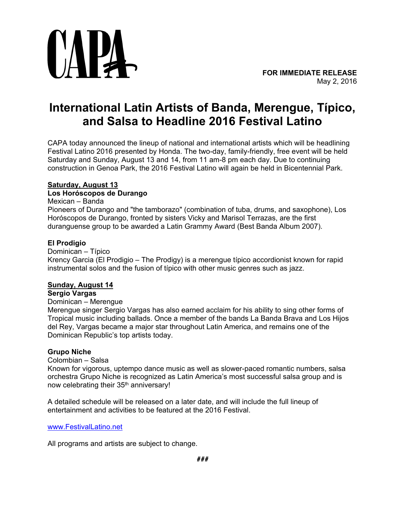

# **International Latin Artists of Banda, Merengue, Típico, and Salsa to Headline 2016 Festival Latino**

CAPA today announced the lineup of national and international artists which will be headlining Festival Latino 2016 presented by Honda. The two-day, family-friendly, free event will be held Saturday and Sunday, August 13 and 14, from 11 am-8 pm each day. Due to continuing construction in Genoa Park, the 2016 Festival Latino will again be held in Bicentennial Park.

# **Saturday, August 13**

# **Los Horóscopos de Durango**

### Mexican – Banda

Pioneers of Durango and "the tamborazo" (combination of tuba, drums, and saxophone), Los Horóscopos de Durango, fronted by sisters Vicky and Marisol Terrazas, are the first duranguense group to be awarded a Latin Grammy Award (Best Banda Album 2007).

# **El Prodigio**

Dominican – Típico Krency Garcia (El Prodigio – The Prodigy) is a merengue típico accordionist known for rapid instrumental solos and the fusion of típico with other music genres such as jazz.

# **Sunday, August 14**

# **Sergio Vargas**

# Dominican – Merengue

Merengue singer Sergio Vargas has also earned acclaim for his ability to sing other forms of Tropical music including ballads. Once a member of the bands La Banda Brava and Los Hijos del Rey, Vargas became a major star throughout Latin America, and remains one of the Dominican Republic's top artists today.

# **Grupo Niche**

#### Colombian – Salsa

Known for vigorous, uptempo dance music as well as slower-paced romantic numbers, salsa orchestra Grupo Niche is recognized as Latin America's most successful salsa group and is now celebrating their 35<sup>th</sup> anniversary!

A detailed schedule will be released on a later date, and will include the full lineup of entertainment and activities to be featured at the 2016 Festival.

[www.FestivalLatino.net](http://www.festivallatino.net/) 

All programs and artists are subject to change.